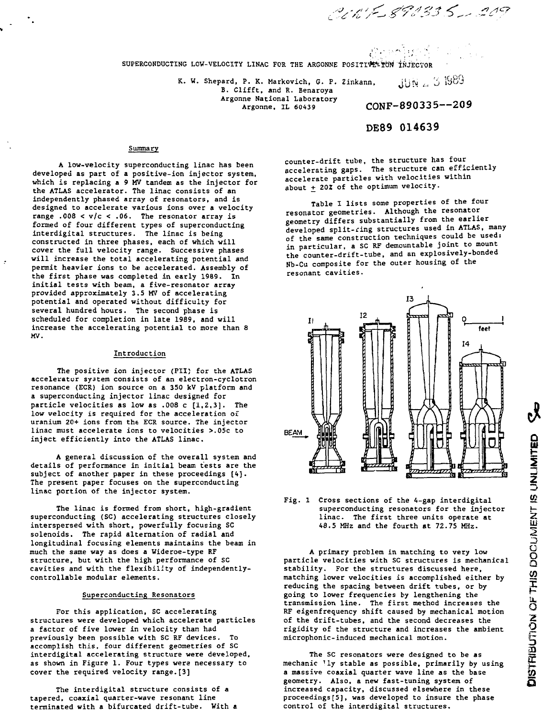CONF 890335 - 209

SUPERCONDUCTING LOW-VELOCITY LINAC FOR THE ARGONNE POSITIVE TON INJECTOR

K. W. Shepard, P. K. Markovich, G. P. Zinkann,  $11N = 51989$ B. Clifft, and R. Benaroya Argonne National Laboratory<br>Argonne, IL 60439

CONF-890335--209

# DE89 014639

ည်း မလိုးများ သ

### Summary

**A low-velocity superconducting linac has been developed as part of a positive-ion injector system, which is replacing a 9 MV tandem as the injector for the ATLAS accelerator. The linac consists of an independently phased array of resonators, and is designed to accelerate various ions over a velocity range .008 < v/c < .06. The resonator array is formed of four different types of superconducting interdigital structures. The linac is being constructed in three phases, each of which will cover the full velocity range. Successive phases will increase the total accelerating potential and permit heavier ions to be accelerated. Assembly of the first phase was completed in early 1989. In initial tests with beam, a five-resonator array provided approximately 3.5 MV of accelerating potential and operated without difficulty for several hundred hours. The second phase is scheduled for completion in late 1989, and will increase the accelerating potential to more than 8 MV.**

#### **Introduction**

**The positive ion injector (PIIJ for the ATLAS accelerator system consists of an electron-cyclotron resonance (ECR) ion source on a 350 kV platform and a superconducting injector linac designed for particle velocities as low as .008 c [1,2,3]. The low velocity is required for the acceleration o£ uranium 20+ ions from the ECR source. The injector linac must accelerate ions to velocities >.05c to inject efficiently into the ATLAS linac.**

**A general discussion of the overall system and details of performance in initial beam tests are the subject of another paper in these proceedings [4]. The present paper focuses on the superconducting linac portion of the injector system.**

**The linac is formed from short, high-gradient superconducting (SC) accelerating structures closely interspersed with short, powerfully focusing SC solenoids. The rapid alternation of radial and longitudinal focusing elements maintains the beam in much the same way as does a Wideroe-type RF structure, but with the high performance of SC cavities and with the flexibility of independentlycontrollable modular elements.**

### **Superconducting Resonators**

**For this application, SC accelerating structures were developed which accelerate particles a factor of five lower in velocity than had previously been possible with SC RF devices. To accomplish this, four different geometries of SC interdigital accelerating structure were developed, as shown in Figure 1. Four types were necessary to cover the required velocity range.[3]**

**The interdigital structure consists of a tapered, coaxial quarter-wave resonant line terminated with a bifurcated drift-tube. With a** **counter-drift tube, the structure has four accelerating gaps. The structure can efficiently accelerate particles with velocities within** about  $\pm$  202 of the optimum velocity.

**Table I lists some properties of the four resonator geometries. Although the resonator geometry differs substantially from the earlier developed split-ring structures used in ATLAS, many of the same construction techniques could be used: in particular, a SC RF demountable joint to mount the counter-drift-tube, and an explosively-bonded Nb-Cu composite for the outer housing of the resonant cavities.**



### **Fig. 1 Cross sections of the 4-gap interdigital superconducting resonators for the injector linac. The first three units operate at 48.5 MHz and the fourth at 72.75 MHz.**

**A primary problem in matching to very low particle velocities with SC structures is mechanical stability. For the structures discussed here, matching lower velocities is accomplished either by reducing the spacing between drift tubes, or by going to lower frequencies by lengthening the transmission line. The first method increases the RF eigenfrequency shift caused by mechanical motion of the drift-tubes, and the second decreases the rigidity of the structure and increases the ambient microphonic-induced mechanical motion.**

**The SC resonators were designed to be as mechanic <sup>1</sup>ly stable as possible, primarily by using a massive coaxial quarter wave line as the base geometry. Also, a new fast-tuning system of increased capacity, discussed elsewhere in these proceedings[5], was developed to insure the phase control of the interdigital structures.**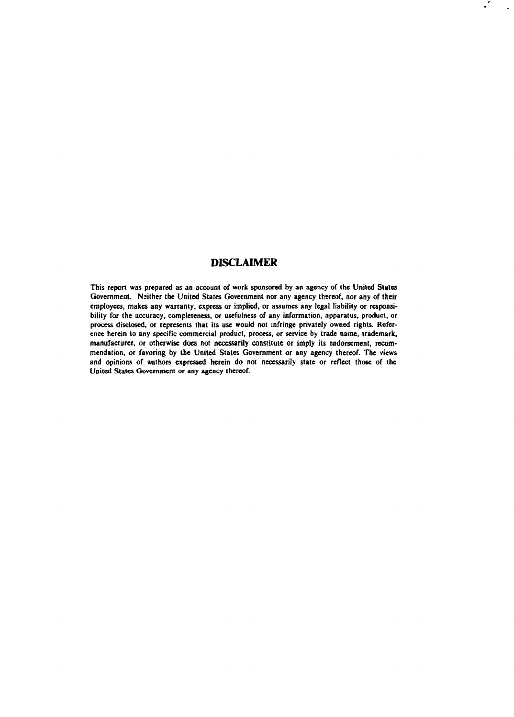## **DISCLAIMER**

**This report was prepared as an account of work sponsored by an agency of the United States Government. Nsither the United States Government nor any agency thereof, nor any of their employees, makes any warranty, express or implied, or assumes any legal liability or responsibility for the accuracy, completeness, or usefulness of any information, apparatus, product, or process disclosed, or represents that its use would not infringe privately owned rights. Reference herein to any specific commercial product, process, or service by trade name, trademark, manufacturer, or otherwise does not necessarily constitute or imply its endorsement, recommendation, or favoring by the United States Government or any agency thereof. The views and opinions of authors expressed herein do not necessarily state or reflect those of the United States Government or any agency thereof.**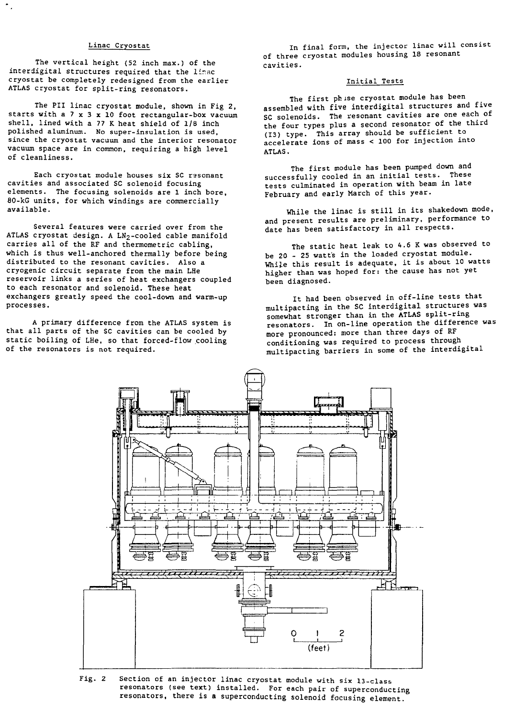### Linac Cryostat

The vertical height (52 inch max.) of the interdigital structures required that the linac cryostat be completely redesigned from the earlier ATLAS cryostat for split-ring resonators.

The PII linac cryostat module, shown in Fig 2, starts with a  $7 \times 3 \times 10$  foot rectangular-box vacuum shell, lined with a 77 K heat shield of 1/8 inch polished aluminum. No super-insulation is used, since the cryostat vacuum and the interior resonator vacuum space are in common, requiring a high level of cleanliness.

Each cryostat module houses six SC rssonant cavities and associated SC solenoid focusing elements. The focusing solenoids are 1 inch bore, 80-kG units, for which windings are commercially available.

Several features were carried over from the ATLAS cryostat design. A LN2-cooled cable manifold carries all of the RF and thermometric cabling, which is thus well-anchored thermally before being distributed to the resonant cavities. Also a cryogenic circuit separate from the main LHe reservoir links a series of heat exchangers coupled to each resonator and solenoid. These heat exchangers greatly speed the cool-down and warm-up processes.

A primary difference from the ATLAS system is that all parts of the SC cavities can be cooled by static boiling of LHe, so that forced-flow cooling of the resonators is not required.

In final form, the injector linac will consist of three cryostat modules housing 18 resonant cavities.

## Initial Tests

The first ph ise cryostat module has been assembled with five interdigital structures and five SC solenoids. The resonant cavities are one each of the four types plus a second resonator of the third (13) type. This array should be sufficient to accelerate ions of mass < 100 for injection into ATLAS.

The first module has been pumped down and successfully cooled in an initial tests. These tests culminated in operation with beam in late February and early March of this year.

While the linac is still in its shakedown mode, and present results are preliminary, performance to date has been satisfactory in all respects.

The static heat leak to 4.6 K was observed to be 20 - 25 watts in the loaded cryostat module. While this result is adequate, it is about 10 watts higher than was hoped for: the cause has not yet been diagnosed.

It had been observed in off-line tests that multipacting in the SC interdigital structures was somewhat stronger than in the ATLAS split-ring resonators. In on-line operation the difference was more pronounced: more than three days of RF conditioning was required to process through multipacting barriers in some of the interdigital



Fig. 2 Section of an injector linac cryostat module with six 13-class resonators (see text) installed. For each pair of superconducting resonators, there is a superconducting solenoid focusing element.